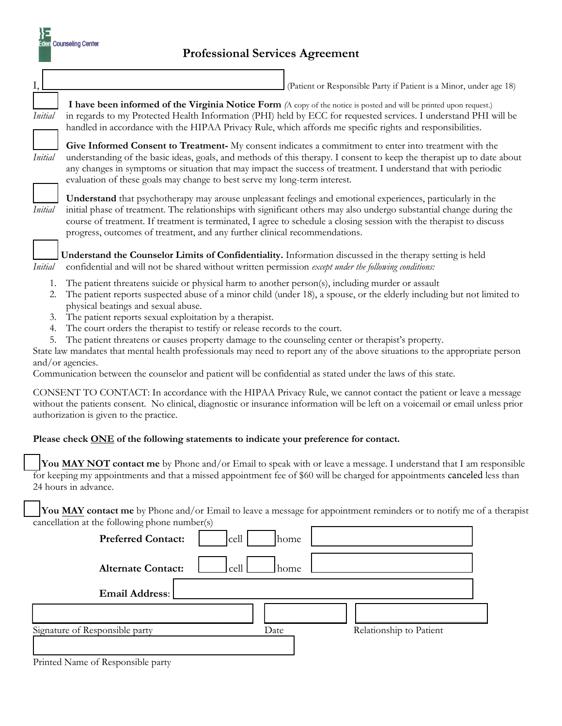| <b>Professional Services Agreement</b> |  |
|----------------------------------------|--|
|                                        |  |

I, \_\_\_\_\_\_\_\_\_\_\_\_\_\_\_\_\_\_\_\_\_\_\_\_\_\_\_\_\_\_\_\_\_\_\_\_\_\_\_\_\_\_\_\_ (Patient or Responsible Party if Patient is a Minor, under age 18)

**Counseling Center** 

**\_\_\_\_\_ I have been informed of the Virginia Notice Form** *(*A copy of the notice is posted and will be printed upon request.) *Initial* in regards to my Protected Health Information (PHI) held by ECC for requested services. I understand PHI will be handled in accordance with the HIPAA Privacy Rule, which affords me specific rights and responsibilities.

**\_\_\_\_\_ Give Informed Consent to Treatment-** My consent indicates a commitment to enter into treatment with the *Initial* understanding of the basic ideas, goals, and methods of this therapy. I consent to keep the therapist up to date about any changes in symptoms or situation that may impact the success of treatment. I understand that with periodic evaluation of these goals may change to best serve my long-term interest.



**\_\_\_\_\_ Understand** that psychotherapy may arouse unpleasant feelings and emotional experiences, particularly in the *Initial* initial phase of treatment. The relationships with significant others may also undergo substantial change during the course of treatment. If treatment is terminated, I agree to schedule a closing session with the therapist to discuss progress, outcomes of treatment, and any further clinical recommendations.



\_\_\_\_\_ **Understand the Counselor Limits of Confidentiality.** Information discussed in the therapy setting is held *Initial* confidential and will not be shared without written permission *except under the following conditions:*

- 1. The patient threatens suicide or physical harm to another person(s), including murder or assault
- 2. The patient reports suspected abuse of a minor child (under 18), a spouse, or the elderly including but not limited to physical beatings and sexual abuse.
- 3. The patient reports sexual exploitation by a therapist.
- 4. The court orders the therapist to testify or release records to the court.
- 5. The patient threatens or causes property damage to the counseling center or therapist's property.

State law mandates that mental health professionals may need to report any of the above situations to the appropriate person and/or agencies.

Communication between the counselor and patient will be confidential as stated under the laws of this state.

CONSENT TO CONTACT: In accordance with the HIPAA Privacy Rule, we cannot contact the patient or leave a message without the patients consent. No clinical, diagnostic or insurance information will be left on a voicemail or email unless prior authorization is given to the practice.

## **Please check ONE of the following statements to indicate your preference for contact.**

**You MAY NOT contact me** by Phone and/or Email to speak with or leave a message. I understand that I am responsible for keeping my appointments and that a missed appointment fee of \$60 will be charged for appointments canceled less than 24 hours in advance.

**You MAY contact me** by Phone and/or Email to leave a message for appointment reminders or to notify me of a therapist cancellation at the following phone number(s)

| ◡<br><b>Preferred Contact:</b> | $\sqrt{2}$<br>cell<br>  home |                         |
|--------------------------------|------------------------------|-------------------------|
| <b>Alternate Contact:</b>      | cell  <br>  home             |                         |
| Email Address:                 |                              |                         |
|                                |                              |                         |
| Signature of Responsible party | Date                         | Relationship to Patient |
|                                |                              |                         |

Printed Name of Responsible party